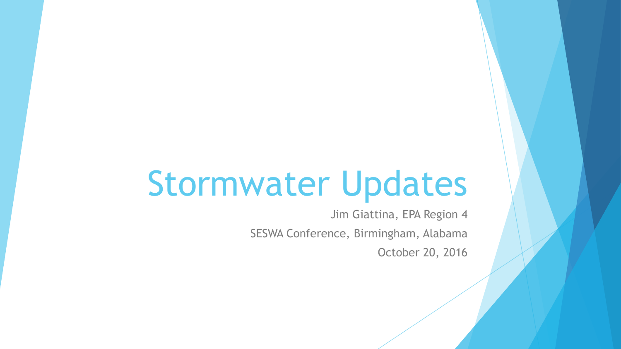# Stormwater Updates

Jim Giattina, EPA Region 4 SESWA Conference, Birmingham, Alabama October 20, 2016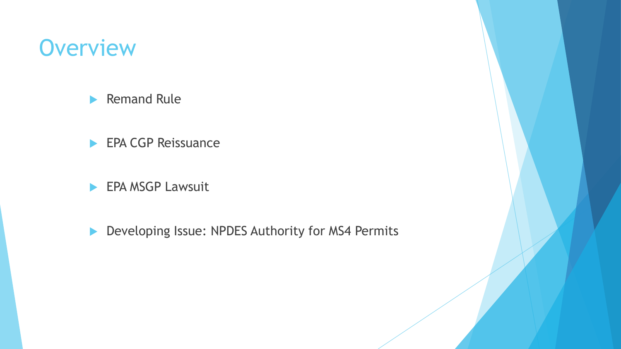#### **Overview**

Remand Rule

- EPA CGP Reissuance
- EPA MSGP Lawsuit
- Developing Issue: NPDES Authority for MS4 Permits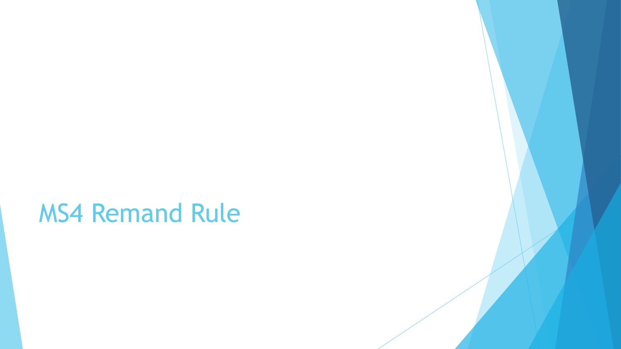## MS4 Remand Rule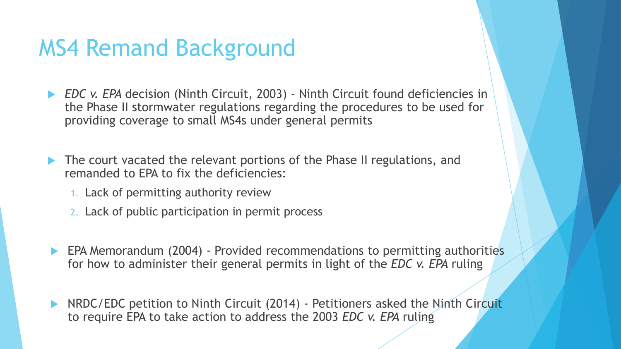#### MS4 Remand Background

- **EDC v. EPA decision (Ninth Circuit, 2003) Ninth Circuit found deficiencies in** the Phase II stormwater regulations regarding the procedures to be used for providing coverage to small MS4s under general permits
- **The court vacated the relevant portions of the Phase II regulations, and** remanded to EPA to fix the deficiencies:
	- 1. Lack of permitting authority review
	- 2. Lack of public participation in permit process
	- EPA Memorandum (2004) Provided recommendations to permitting authorities for how to administer their general permits in light of the *EDC v. EPA* ruling
	- NRDC/EDC petition to Ninth Circuit (2014) Petitioners asked the Ninth Circuit to require EPA to take action to address the 2003 *EDC v. EPA* ruling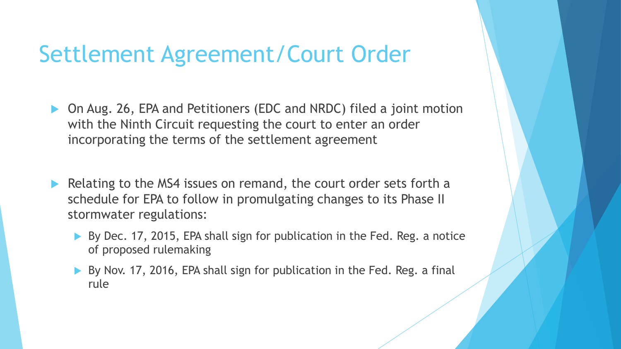#### Settlement Agreement/Court Order

- On Aug. 26, EPA and Petitioners (EDC and NRDC) filed a joint motion with the Ninth Circuit requesting the court to enter an order incorporating the terms of the settlement agreement
- Relating to the MS4 issues on remand, the court order sets forth a schedule for EPA to follow in promulgating changes to its Phase II stormwater regulations:
	- By Dec. 17, 2015, EPA shall sign for publication in the Fed. Reg. a notice of proposed rulemaking
	- ▶ By Nov. 17, 2016, EPA shall sign for publication in the Fed. Reg. a final rule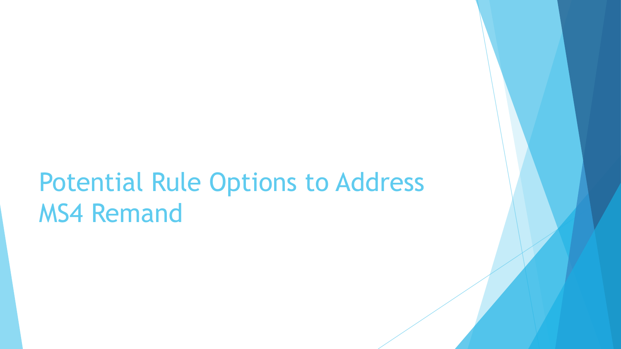# Potential Rule Options to Address MS4 Remand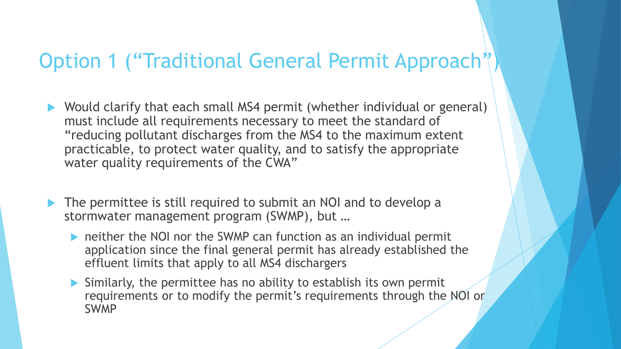#### Option 1 ("Traditional General Permit Approach")

- ▶ Would clarify that each small MS4 permit (whether individual or general) must include all requirements necessary to meet the standard of "reducing pollutant discharges from the MS4 to the maximum extent practicable, to protect water quality, and to satisfy the appropriate water quality requirements of the CWA"
- The permittee is still required to submit an NOI and to develop a stormwater management program (SWMP), but …
	- neither the NOI nor the SWMP can function as an individual permit application since the final general permit has already established the effluent limits that apply to all MS4 dischargers
	- Similarly, the permittee has no ability to establish its own permit requirements or to modify the permit's requirements through the NOI or SWMP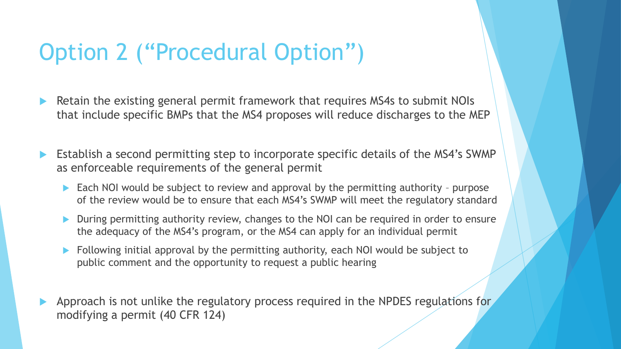## Option 2 ("Procedural Option")

- Retain the existing general permit framework that requires MS4s to submit NOIs that include specific BMPs that the MS4 proposes will reduce discharges to the MEP
- Establish a second permitting step to incorporate specific details of the MS4's SWMP as enforceable requirements of the general permit
	- $\blacktriangleright$  Each NOI would be subject to review and approval by the permitting authority purpose of the review would be to ensure that each MS4's SWMP will meet the regulatory standard
	- During permitting authority review, changes to the NOI can be required in order to ensure the adequacy of the MS4's program, or the MS4 can apply for an individual permit
	- Following initial approval by the permitting authority, each NOI would be subject to public comment and the opportunity to request a public hearing
- Approach is not unlike the regulatory process required in the NPDES regulations for modifying a permit (40 CFR 124)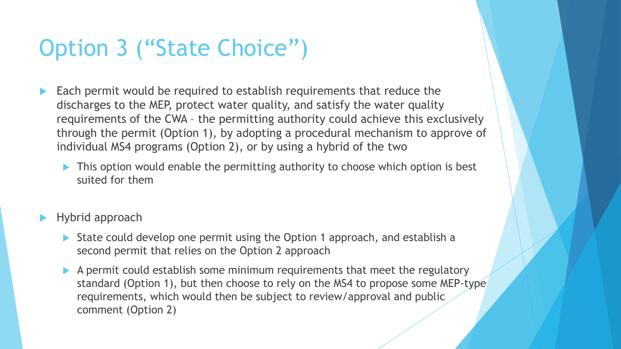## Option 3 ("State Choice")

- Each permit would be required to establish requirements that reduce the discharges to the MEP, protect water quality, and satisfy the water quality requirements of the CWA – the permitting authority could achieve this exclusively through the permit (Option 1), by adopting a procedural mechanism to approve of individual MS4 programs (Option 2), or by using a hybrid of the two
	- **This option would enable the permitting authority to choose which option is best** suited for them
- Hybrid approach
	- ▶ State could develop one permit using the Option 1 approach, and establish a second permit that relies on the Option 2 approach
	- A permit could establish some minimum requirements that meet the regulatory standard (Option 1), but then choose to rely on the MS4 to propose some MEP-type requirements, which would then be subject to review/approval and public comment (Option 2)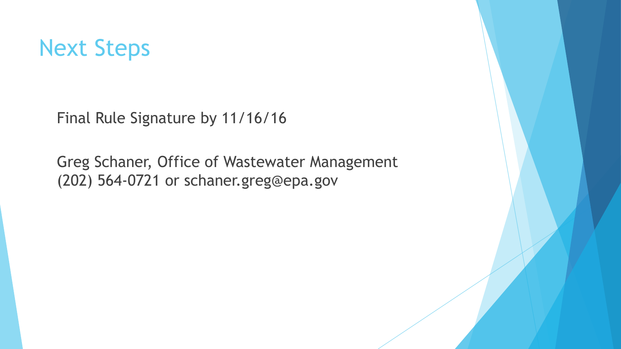

Final Rule Signature by 11/16/16

Greg Schaner, Office of Wastewater Management (202) 564-0721 or schaner.greg@epa.gov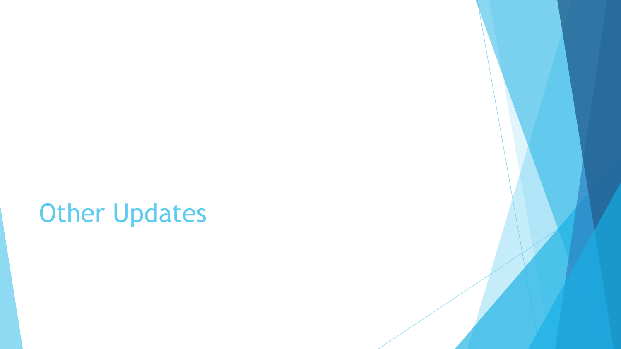# Other Updates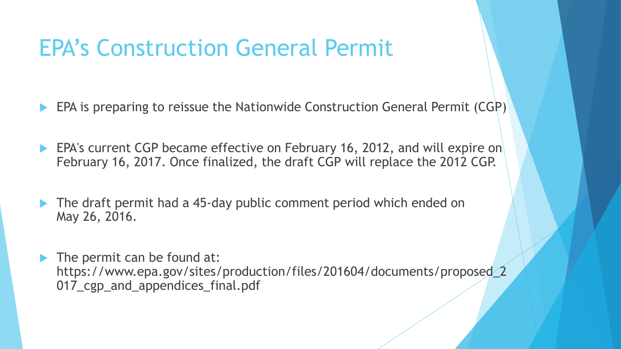## EPA's Construction General Permit

- EPA is preparing to reissue the Nationwide Construction General Permit (CGP)
- **EPA's current CGP became effective on February 16, 2012, and will expire on** February 16, 2017. Once finalized, the draft CGP will replace the 2012 CGP.
- The draft permit had a 45-day public comment period which ended on May 26, 2016.
- $\blacktriangleright$  The permit can be found at: https://www.epa.gov/sites/production/files/201604/documents/proposed\_2 017\_cgp\_and\_appendices\_final.pdf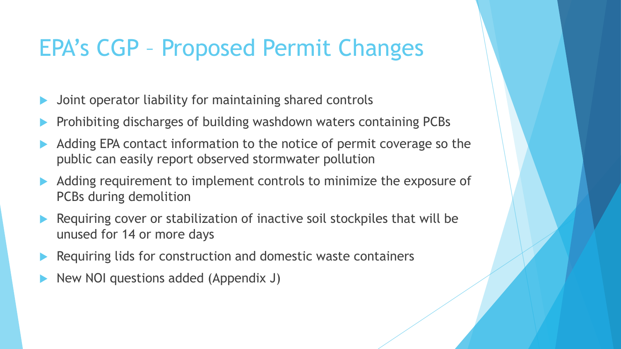#### EPA's CGP – Proposed Permit Changes

- Joint operator liability for maintaining shared controls
- Prohibiting discharges of building washdown waters containing PCBs
- Adding EPA contact information to the notice of permit coverage so the public can easily report observed stormwater pollution
- Adding requirement to implement controls to minimize the exposure of PCBs during demolition
- Requiring cover or stabilization of inactive soil stockpiles that will be unused for 14 or more days
- Requiring lids for construction and domestic waste containers
- New NOI questions added (Appendix J)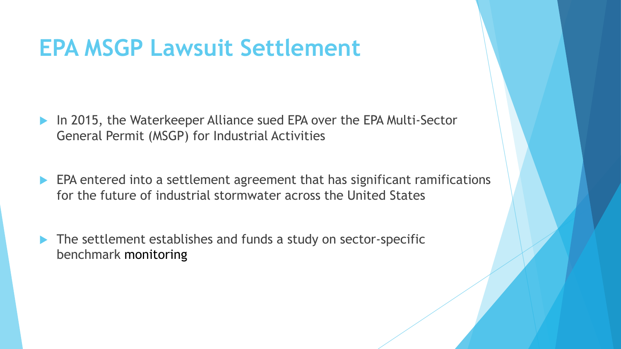#### **EPA MSGP Lawsuit Settlement**

- ▶ In 2015, the Waterkeeper Alliance sued EPA over the EPA Multi-Sector General Permit (MSGP) for Industrial Activities
- EPA entered into a settlement agreement that has significant ramifications for the future of industrial stormwater across the United States
- The settlement establishes and funds a study on sector-specific benchmark monitoring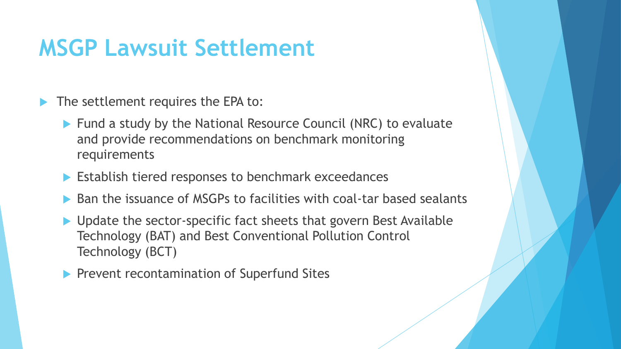## **MSGP Lawsuit Settlement**

- The settlement requires the EPA to:
	- ▶ Fund a study by the National Resource Council (NRC) to evaluate and provide recommendations on benchmark monitoring requirements
	- **Establish tiered responses to benchmark exceedances**
	- Ban the issuance of MSGPs to facilities with coal-tar based sealants
	- ▶ Update the sector-specific fact sheets that govern Best Available Technology (BAT) and Best Conventional Pollution Control Technology (BCT)
	- $\blacktriangleright$  Prevent recontamination of Superfund Sites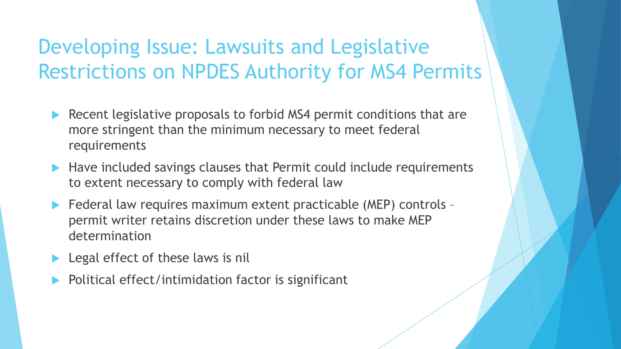#### Developing Issue: Lawsuits and Legislative Restrictions on NPDES Authority for MS4 Permits

- Recent legislative proposals to forbid MS4 permit conditions that are more stringent than the minimum necessary to meet federal requirements
- Have included savings clauses that Permit could include requirements to extent necessary to comply with federal law
- ▶ Federal law requires maximum extent practicable (MEP) controls permit writer retains discretion under these laws to make MEP determination
- Legal effect of these laws is nil
- Political effect/intimidation factor is significant